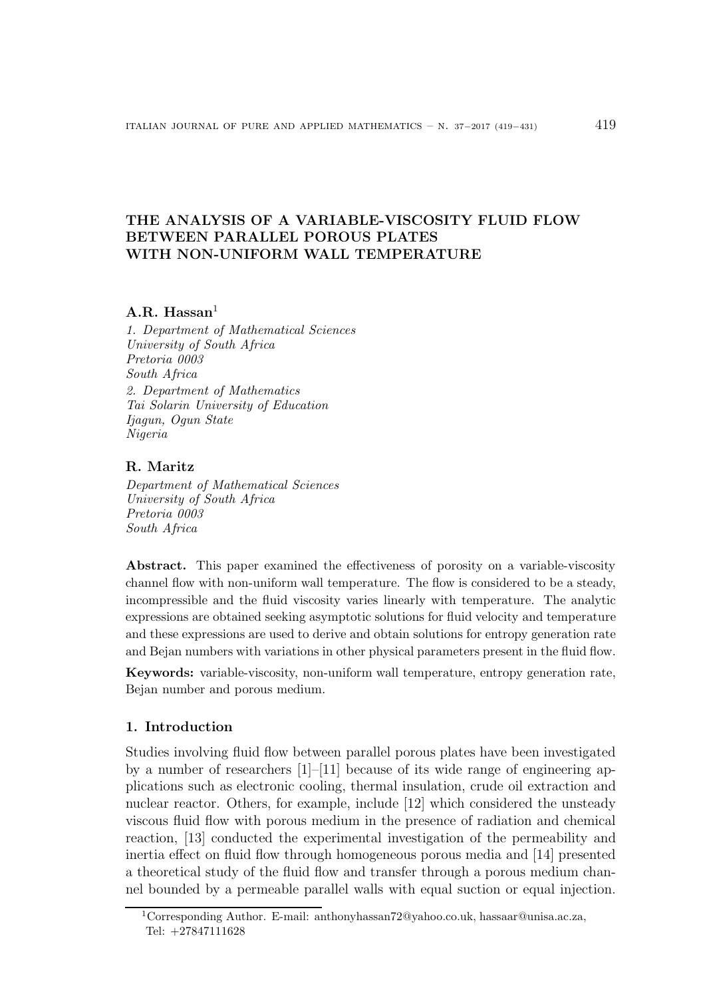# THE ANALYSIS OF A VARIABLE-VISCOSITY FLUID FLOW BETWEEN PARALLEL POROUS PLATES WITH NON-UNIFORM WALL TEMPERATURE

# A.R. Hassan $<sup>1</sup>$ </sup>

1. Department of Mathematical Sciences University of South Africa Pretoria 0003 South Africa 2. Department of Mathematics Tai Solarin University of Education Ijagun, Ogun State Nigeria

### R. Maritz

Department of Mathematical Sciences University of South Africa Pretoria 0003 South Africa

Abstract. This paper examined the effectiveness of porosity on a variable-viscosity channel flow with non-uniform wall temperature. The flow is considered to be a steady, incompressible and the fluid viscosity varies linearly with temperature. The analytic expressions are obtained seeking asymptotic solutions for fluid velocity and temperature and these expressions are used to derive and obtain solutions for entropy generation rate and Bejan numbers with variations in other physical parameters present in the fluid flow.

Keywords: variable-viscosity, non-uniform wall temperature, entropy generation rate, Bejan number and porous medium.

## 1. Introduction

Studies involving fluid flow between parallel porous plates have been investigated by a number of researchers  $[1]$ – $[11]$  because of its wide range of engineering applications such as electronic cooling, thermal insulation, crude oil extraction and nuclear reactor. Others, for example, include [12] which considered the unsteady viscous fluid flow with porous medium in the presence of radiation and chemical reaction, [13] conducted the experimental investigation of the permeability and inertia effect on fluid flow through homogeneous porous media and [14] presented a theoretical study of the fluid flow and transfer through a porous medium channel bounded by a permeable parallel walls with equal suction or equal injection.

<sup>1</sup>Corresponding Author. E-mail: anthonyhassan72@yahoo.co.uk, hassaar@unisa.ac.za, Tel: +27847111628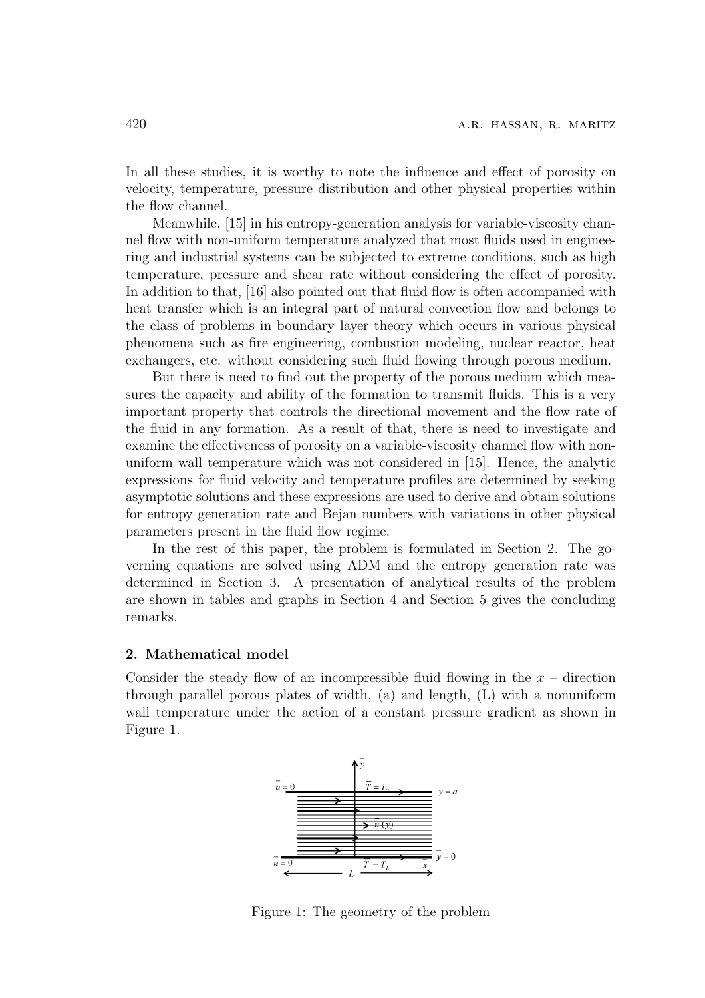In all these studies, it is worthy to note the influence and effect of porosity on velocity, temperature, pressure distribution and other physical properties within the flow channel.

Meanwhile, [15] in his entropy-generation analysis for variable-viscosity channel flow with non-uniform temperature analyzed that most fluids used in engineering and industrial systems can be subjected to extreme conditions, such as high temperature, pressure and shear rate without considering the effect of porosity. In addition to that, [16] also pointed out that fluid flow is often accompanied with heat transfer which is an integral part of natural convection flow and belongs to the class of problems in boundary layer theory which occurs in various physical phenomena such as fire engineering, combustion modeling, nuclear reactor, heat exchangers, etc. without considering such fluid flowing through porous medium.

But there is need to find out the property of the porous medium which measures the capacity and ability of the formation to transmit fluids. This is a very important property that controls the directional movement and the flow rate of the fluid in any formation. As a result of that, there is need to investigate and examine the effectiveness of porosity on a variable-viscosity channel flow with nonuniform wall temperature which was not considered in [15]. Hence, the analytic expressions for fluid velocity and temperature profiles are determined by seeking asymptotic solutions and these expressions are used to derive and obtain solutions for entropy generation rate and Bejan numbers with variations in other physical parameters present in the fluid flow regime.

In the rest of this paper, the problem is formulated in Section 2. The governing equations are solved using ADM and the entropy generation rate was determined in Section 3. A presentation of analytical results of the problem are shown in tables and graphs in Section 4 and Section 5 gives the concluding remarks.

#### 2. Mathematical model

Consider the steady flow of an incompressible fluid flowing in the  $x -$  direction through parallel porous plates of width, (a) and length, (L) with a nonuniform wall temperature under the action of a constant pressure gradient as shown in Figure 1.



Figure 1: The geometry of the problem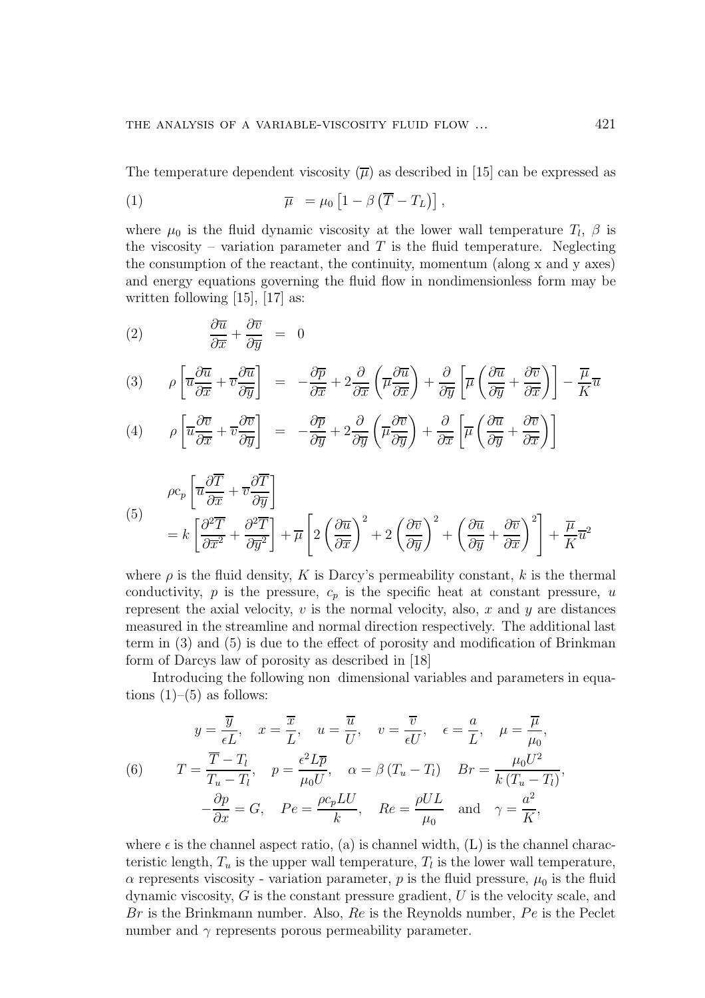The temperature dependent viscosity  $(\overline{\mu})$  as described in [15] can be expressed as

(1) 
$$
\overline{\mu} = \mu_0 \left[ 1 - \beta \left( \overline{T} - T_L \right) \right],
$$

where  $\mu_0$  is the fluid dynamic viscosity at the lower wall temperature  $T_l$ ,  $\beta$  is the viscosity – variation parameter and  $T$  is the fluid temperature. Neglecting the consumption of the reactant, the continuity, momentum (along x and y axes) and energy equations governing the fluid flow in nondimensionless form may be written following [15], [17] as:

(2) 
$$
\frac{\partial \overline{u}}{\partial \overline{x}} + \frac{\partial \overline{v}}{\partial \overline{y}} = 0
$$

$$
(3) \qquad \rho \left[ \overline{u} \frac{\partial \overline{u}}{\partial \overline{x}} + \overline{v} \frac{\partial \overline{u}}{\partial \overline{y}} \right] = -\frac{\partial \overline{p}}{\partial \overline{x}} + 2 \frac{\partial}{\partial \overline{x}} \left( \overline{\mu} \frac{\partial \overline{u}}{\partial \overline{x}} \right) + \frac{\partial}{\partial \overline{y}} \left[ \overline{\mu} \left( \frac{\partial \overline{u}}{\partial \overline{y}} + \frac{\partial \overline{v}}{\partial \overline{x}} \right) \right] - \frac{\overline{\mu}}{K} \overline{u}
$$

(4) 
$$
\rho \left[ \overline{u} \frac{\partial \overline{v}}{\partial \overline{x}} + \overline{v} \frac{\partial \overline{v}}{\partial \overline{y}} \right] = -\frac{\partial \overline{p}}{\partial \overline{y}} + 2 \frac{\partial}{\partial \overline{y}} \left( \overline{\mu} \frac{\partial \overline{v}}{\partial \overline{y}} \right) + \frac{\partial}{\partial \overline{x}} \left[ \overline{\mu} \left( \frac{\partial \overline{u}}{\partial \overline{y}} + \frac{\partial \overline{v}}{\partial \overline{x}} \right) \right]
$$

(5)  
\n
$$
\rho c_p \left[ \overline{u} \frac{\partial \overline{T}}{\partial \overline{x}} + \overline{v} \frac{\partial \overline{T}}{\partial \overline{y}} \right]
$$
\n
$$
= k \left[ \frac{\partial^2 \overline{T}}{\partial \overline{x}^2} + \frac{\partial^2 \overline{T}}{\partial \overline{y}^2} \right] + \overline{\mu} \left[ 2 \left( \frac{\partial \overline{u}}{\partial \overline{x}} \right)^2 + 2 \left( \frac{\partial \overline{v}}{\partial \overline{y}} \right)^2 + \left( \frac{\partial \overline{u}}{\partial \overline{y}} + \frac{\partial \overline{v}}{\partial \overline{x}} \right)^2 \right] + \frac{\overline{\mu}}{K} \overline{u}^2
$$

where  $\rho$  is the fluid density, K is Darcy's permeability constant, k is the thermal conductivity,  $p$  is the pressure,  $c_p$  is the specific heat at constant pressure,  $u$ represent the axial velocity,  $v$  is the normal velocity, also,  $x$  and  $y$  are distances measured in the streamline and normal direction respectively. The additional last term in (3) and (5) is due to the effect of porosity and modification of Brinkman form of Darcys law of porosity as described in [18]

Introducing the following non dimensional variables and parameters in equations  $(1)$ – $(5)$  as follows:

(6) 
$$
y = \frac{\overline{y}}{\epsilon L}, \quad x = \frac{\overline{x}}{L}, \quad u = \frac{\overline{u}}{U}, \quad v = \frac{\overline{v}}{\epsilon U}, \quad \epsilon = \frac{a}{L}, \quad \mu = \frac{\overline{\mu}}{\mu_0},
$$

$$
T = \frac{\overline{T} - T_l}{T_u - T_l}, \quad p = \frac{\epsilon^2 L \overline{p}}{\mu_0 U}, \quad \alpha = \beta (T_u - T_l) \quad Br = \frac{\mu_0 U^2}{k (T_u - T_l)},
$$

$$
-\frac{\partial p}{\partial x} = G, \quad Pe = \frac{\rho c_p L U}{k}, \quad Re = \frac{\rho U L}{\mu_0} \quad \text{and} \quad \gamma = \frac{a^2}{K},
$$

where  $\epsilon$  is the channel aspect ratio, (a) is channel width, (L) is the channel characteristic length,  $T_u$  is the upper wall temperature,  $T_l$  is the lower wall temperature,  $\alpha$  represents viscosity - variation parameter, p is the fluid pressure,  $\mu_0$  is the fluid dynamic viscosity,  $G$  is the constant pressure gradient,  $U$  is the velocity scale, and Br is the Brinkmann number. Also,  $Re$  is the Reynolds number,  $Pe$  is the Peclet number and  $\gamma$  represents porous permeability parameter.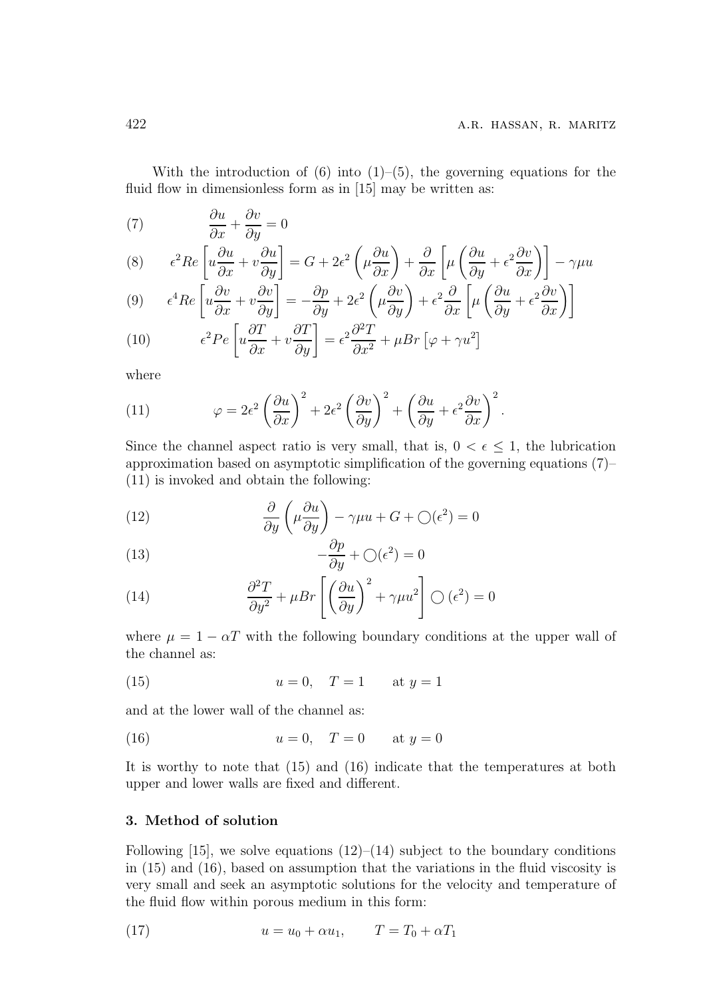With the introduction of  $(6)$  into  $(1)$ – $(5)$ , the governing equations for the fluid flow in dimensionless form as in [15] may be written as:

(7) 
$$
\frac{\partial u}{\partial x} + \frac{\partial v}{\partial y} = 0
$$

(8) 
$$
\epsilon^2 Re \left[ u \frac{\partial u}{\partial x} + v \frac{\partial u}{\partial y} \right] = G + 2\epsilon^2 \left( \mu \frac{\partial u}{\partial x} \right) + \frac{\partial}{\partial x} \left[ \mu \left( \frac{\partial u}{\partial y} + \epsilon^2 \frac{\partial v}{\partial x} \right) \right] - \gamma \mu u
$$

$$
(9) \qquad \epsilon^4 Re \left[ u \frac{\partial v}{\partial x} + v \frac{\partial v}{\partial y} \right] = -\frac{\partial p}{\partial y} + 2\epsilon^2 \left( \mu \frac{\partial v}{\partial y} \right) + \epsilon^2 \frac{\partial}{\partial x} \left[ \mu \left( \frac{\partial u}{\partial y} + \epsilon^2 \frac{\partial v}{\partial x} \right) \right]
$$

(10) 
$$
\epsilon^2 Pe \left[ u \frac{\partial T}{\partial x} + v \frac{\partial T}{\partial y} \right] = \epsilon^2 \frac{\partial^2 T}{\partial x^2} + \mu Br \left[ \varphi + \gamma u^2 \right]
$$

where

(11) 
$$
\varphi = 2\epsilon^2 \left(\frac{\partial u}{\partial x}\right)^2 + 2\epsilon^2 \left(\frac{\partial v}{\partial y}\right)^2 + \left(\frac{\partial u}{\partial y} + \epsilon^2 \frac{\partial v}{\partial x}\right)^2.
$$

Since the channel aspect ratio is very small, that is,  $0 < \epsilon \leq 1$ , the lubrication approximation based on asymptotic simplification of the governing equations (7)– (11) is invoked and obtain the following:

(12) 
$$
\frac{\partial}{\partial y} \left( \mu \frac{\partial u}{\partial y} \right) - \gamma \mu u + G + \bigcirc (\epsilon^2) = 0
$$

(13) 
$$
-\frac{\partial p}{\partial y} + \bigcirc (\epsilon^2) = 0
$$

(14) 
$$
\frac{\partial^2 T}{\partial y^2} + \mu Br \left[ \left( \frac{\partial u}{\partial y} \right)^2 + \gamma \mu u^2 \right] \bigcirc (\epsilon^2) = 0
$$

where  $\mu = 1 - \alpha T$  with the following boundary conditions at the upper wall of the channel as:

(15) 
$$
u = 0, T = 1
$$
 at  $y = 1$ 

and at the lower wall of the channel as:

(16) 
$$
u = 0, T = 0
$$
 at  $y = 0$ 

It is worthy to note that (15) and (16) indicate that the temperatures at both upper and lower walls are fixed and different.

#### 3. Method of solution

Following [15], we solve equations  $(12)$ – $(14)$  subject to the boundary conditions in (15) and (16), based on assumption that the variations in the fluid viscosity is very small and seek an asymptotic solutions for the velocity and temperature of the fluid flow within porous medium in this form:

(17) 
$$
u = u_0 + \alpha u_1, \qquad T = T_0 + \alpha T_1
$$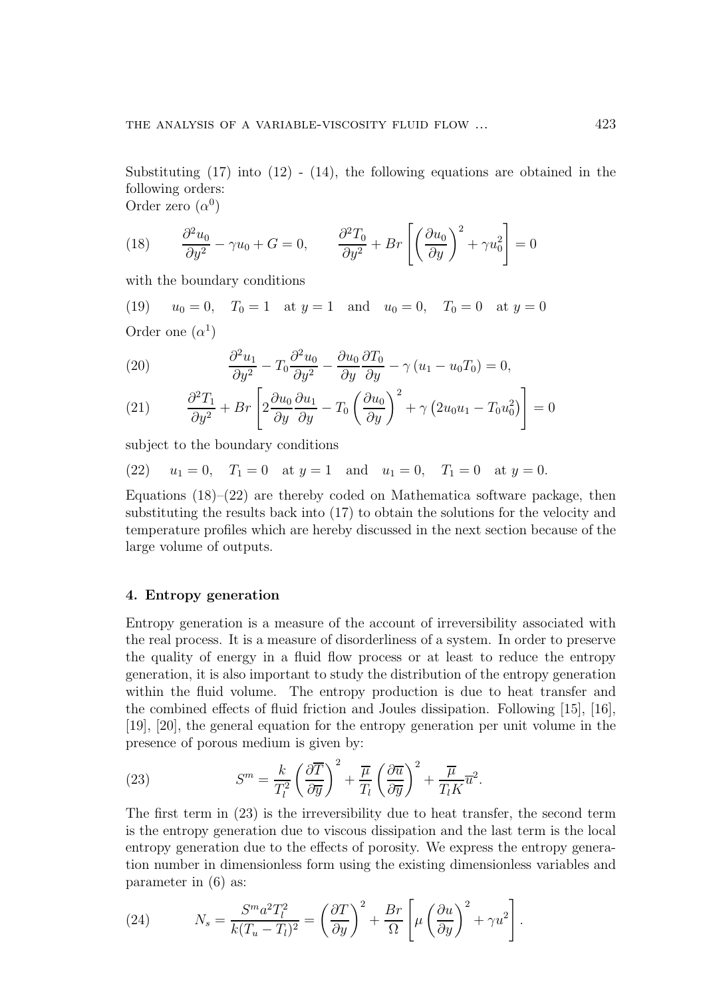Substituting  $(17)$  into  $(12)$  -  $(14)$ , the following equations are obtained in the following orders:

Order zero  $(\alpha^0)$ 

(18) 
$$
\frac{\partial^2 u_0}{\partial y^2} - \gamma u_0 + G = 0, \qquad \frac{\partial^2 T_0}{\partial y^2} + Br\left[\left(\frac{\partial u_0}{\partial y}\right)^2 + \gamma u_0^2\right] = 0
$$

with the boundary conditions

(19)  $u_0 = 0$ ,  $T_0 = 1$  at  $y = 1$  and  $u_0 = 0$ ,  $T_0 = 0$  at  $y = 0$ Order one  $(\alpha^1)$ 

(20) 
$$
\frac{\partial^2 u_1}{\partial y^2} - T_0 \frac{\partial^2 u_0}{\partial y^2} - \frac{\partial u_0}{\partial y} \frac{\partial T_0}{\partial y} - \gamma (u_1 - u_0 T_0) = 0,
$$

(21) 
$$
\frac{\partial^2 T_1}{\partial y^2} + Br \left[ 2 \frac{\partial u_0}{\partial y} \frac{\partial u_1}{\partial y} - T_0 \left( \frac{\partial u_0}{\partial y} \right)^2 + \gamma \left( 2 u_0 u_1 - T_0 u_0^2 \right) \right] = 0
$$

subject to the boundary conditions

(22) 
$$
u_1 = 0
$$
,  $T_1 = 0$  at  $y = 1$  and  $u_1 = 0$ ,  $T_1 = 0$  at  $y = 0$ .

Equations  $(18)$ – $(22)$  are thereby coded on Mathematica software package, then substituting the results back into (17) to obtain the solutions for the velocity and temperature profiles which are hereby discussed in the next section because of the large volume of outputs.

#### 4. Entropy generation

Entropy generation is a measure of the account of irreversibility associated with the real process. It is a measure of disorderliness of a system. In order to preserve the quality of energy in a fluid flow process or at least to reduce the entropy generation, it is also important to study the distribution of the entropy generation within the fluid volume. The entropy production is due to heat transfer and the combined effects of fluid friction and Joules dissipation. Following [15], [16], [19], [20], the general equation for the entropy generation per unit volume in the presence of porous medium is given by:

(23) 
$$
S^{m} = \frac{k}{T_{l}^{2}} \left( \frac{\partial \overline{T}}{\partial \overline{y}} \right)^{2} + \frac{\overline{\mu}}{T_{l}} \left( \frac{\partial \overline{u}}{\partial \overline{y}} \right)^{2} + \frac{\overline{\mu}}{T_{l} K} \overline{u}^{2}.
$$

The first term in (23) is the irreversibility due to heat transfer, the second term is the entropy generation due to viscous dissipation and the last term is the local entropy generation due to the effects of porosity. We express the entropy generation number in dimensionless form using the existing dimensionless variables and parameter in (6) as:

(24) 
$$
N_s = \frac{S^m a^2 T_l^2}{k(T_u - T_l)^2} = \left(\frac{\partial T}{\partial y}\right)^2 + \frac{Br}{\Omega} \left[\mu \left(\frac{\partial u}{\partial y}\right)^2 + \gamma u^2\right].
$$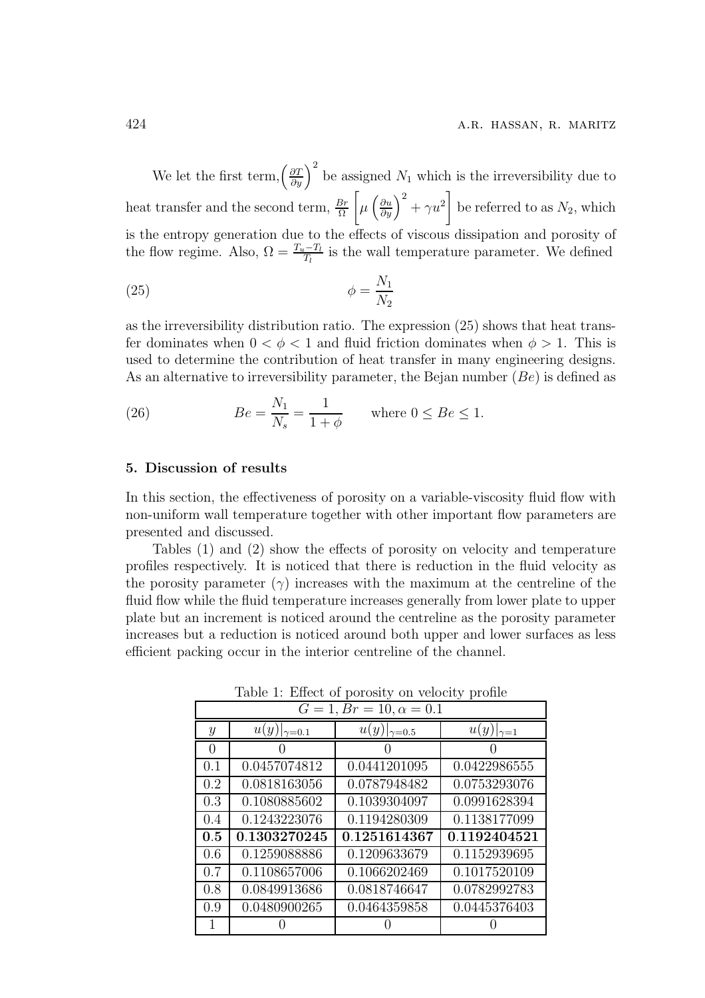We let the first term,  $\left(\frac{\partial T}{\partial y}\right)^2$  be assigned  $N_1$  which is the irreversibility due to heat transfer and the second term,  $\frac{Br}{\Omega}$  $\left[\mu\left(\frac{\partial u}{\partial y}\right)^2 + \gamma u^2\right]$  be referred to as  $N_2$ , which is the entropy generation due to the effects of viscous dissipation and porosity of the flow regime. Also,  $\Omega = \frac{T_u - T_l}{T_l}$  is the wall temperature parameter. We defined

$$
\phi = \frac{N_1}{N_2}
$$

as the irreversibility distribution ratio. The expression (25) shows that heat transfer dominates when  $0 < \phi < 1$  and fluid friction dominates when  $\phi > 1$ . This is used to determine the contribution of heat transfer in many engineering designs. As an alternative to irreversibility parameter, the Bejan number  $(Be)$  is defined as

(26) 
$$
Be = \frac{N_1}{N_s} = \frac{1}{1+\phi} \quad \text{where } 0 \le Be \le 1.
$$

#### 5. Discussion of results

In this section, the effectiveness of porosity on a variable-viscosity fluid flow with non-uniform wall temperature together with other important flow parameters are presented and discussed.

Tables (1) and (2) show the effects of porosity on velocity and temperature profiles respectively. It is noticed that there is reduction in the fluid velocity as the porosity parameter  $(\gamma)$  increases with the maximum at the centreline of the fluid flow while the fluid temperature increases generally from lower plate to upper plate but an increment is noticed around the centreline as the porosity parameter increases but a reduction is noticed around both upper and lower surfaces as less efficient packing occur in the interior centreline of the channel.

 $G = 1, Br = 10, \alpha = 0.1$ 

Table 1: Effect of porosity on velocity profile

| $G = 1, Br = 10, \alpha = 0.1$ |                        |                      |                      |  |
|--------------------------------|------------------------|----------------------|----------------------|--|
| $\boldsymbol{y}$               | u(y)<br>$\gamma = 0.1$ | u(y)<br>$\gamma=0.5$ | u(y)<br>$\gamma = 1$ |  |
| 0                              |                        |                      |                      |  |
| 0.1                            | 0.0457074812           | 0.0441201095         | 0.0422986555         |  |
| 0.2                            | 0.0818163056           | 0.0787948482         | 0.0753293076         |  |
| 0.3                            | 0.1080885602           | 0.1039304097         | 0.0991628394         |  |
| 0.4                            | 0.1243223076           | 0.1194280309         | 0.1138177099         |  |
| 0.5                            | 0.1303270245           | 0.1251614367         | 0.1192404521         |  |
| 0.6                            | 0.1259088886           | 0.1209633679         | 0.1152939695         |  |
| 0.7                            | 0.1108657006           | 0.1066202469         | 0.1017520109         |  |
| 0.8                            | 0.0849913686           | 0.0818746647         | 0.0782992783         |  |
| 0.9                            | 0.0480900265           | 0.0464359858         | 0.0445376403         |  |
|                                |                        |                      |                      |  |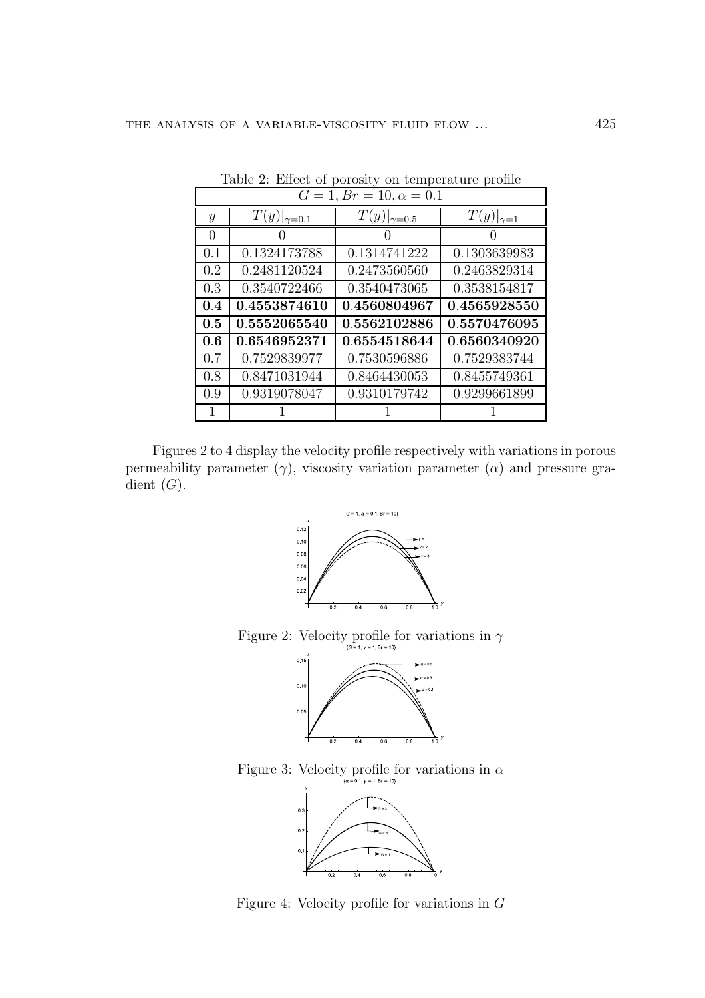| $G = 1, Br = 10, \alpha = 0.1$ |                      |                      |                    |  |
|--------------------------------|----------------------|----------------------|--------------------|--|
| $\mathcal{Y}$                  | $T(y) _{\gamma=0.1}$ | $T(y) _{\gamma=0.5}$ | $T(y) _{\gamma=1}$ |  |
| 0                              |                      |                      |                    |  |
| 0.1                            | 0.1324173788         | 0.1314741222         | 0.1303639983       |  |
| 0.2                            | 0.2481120524         | 0.2473560560         | 0.2463829314       |  |
| 0.3                            | 0.3540722466         | 0.3540473065         | 0.3538154817       |  |
| 0.4                            | 0.4553874610         | 0.4560804967         | 0.4565928550       |  |
| 0.5                            | 0.5552065540         | 0.5562102886         | 0.5570476095       |  |
| 0.6                            | 0.6546952371         | 0.6554518644         | 0.6560340920       |  |
| 0.7                            | 0.7529839977         | 0.7530596886         | 0.7529383744       |  |
| 0.8                            | 0.8471031944         | 0.8464430053         | 0.8455749361       |  |
| 0.9                            | 0.9319078047         | 0.9310179742         | 0.9299661899       |  |
|                                |                      |                      |                    |  |

Table 2: Effect of porosity on temperature profile

Figures 2 to 4 display the velocity profile respectively with variations in porous permeability parameter  $(\gamma)$ , viscosity variation parameter  $(\alpha)$  and pressure gradient  $(G)$ .



Figure 2: Velocity profile for variations in  $\gamma$ 



Figure 3: Velocity profile for variations in  $\alpha$ 



Figure 4: Velocity profile for variations in  $G$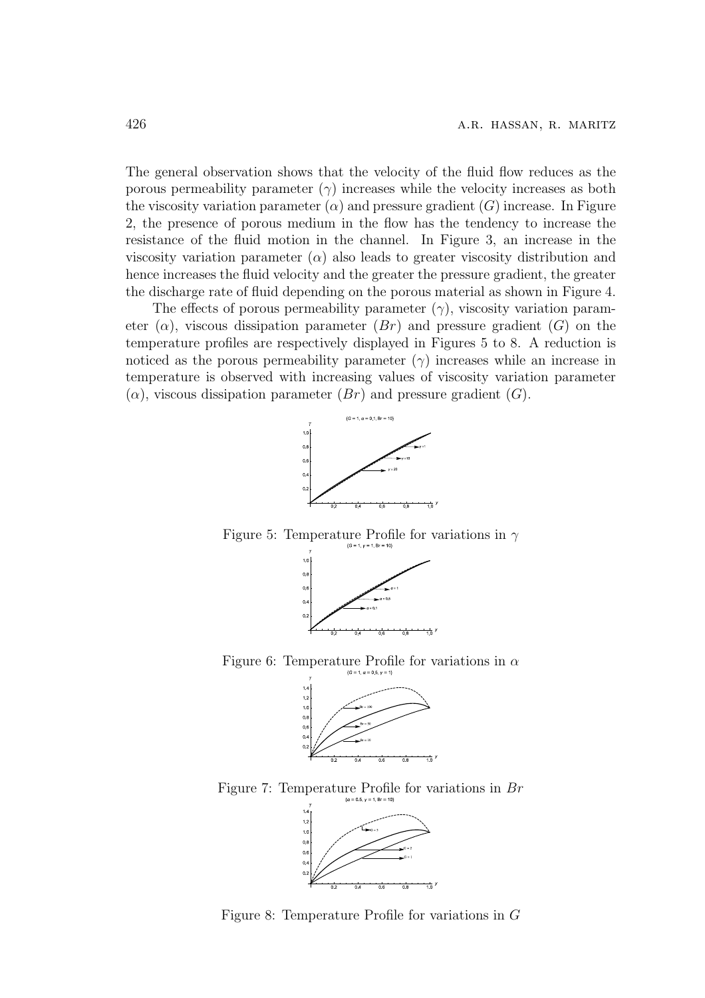The general observation shows that the velocity of the fluid flow reduces as the porous permeability parameter  $(\gamma)$  increases while the velocity increases as both the viscosity variation parameter  $(\alpha)$  and pressure gradient  $(G)$  increase. In Figure 2, the presence of porous medium in the flow has the tendency to increase the resistance of the fluid motion in the channel. In Figure 3, an increase in the viscosity variation parameter  $(\alpha)$  also leads to greater viscosity distribution and hence increases the fluid velocity and the greater the pressure gradient, the greater the discharge rate of fluid depending on the porous material as shown in Figure 4.

The effects of porous permeability parameter  $(\gamma)$ , viscosity variation parameter  $(\alpha)$ , viscous dissipation parameter  $(Br)$  and pressure gradient  $(G)$  on the temperature profiles are respectively displayed in Figures 5 to 8. A reduction is noticed as the porous permeability parameter  $(\gamma)$  increases while an increase in temperature is observed with increasing values of viscosity variation parameter  $(\alpha)$ , viscous dissipation parameter  $(Br)$  and pressure gradient  $(G)$ .



Figure 5: Temperature Profile for variations in  $\gamma$ 



Figure 6: Temperature Profile for variations in  $\alpha$ 



Figure 7: Temperature Profile for variations in  $Br$ 



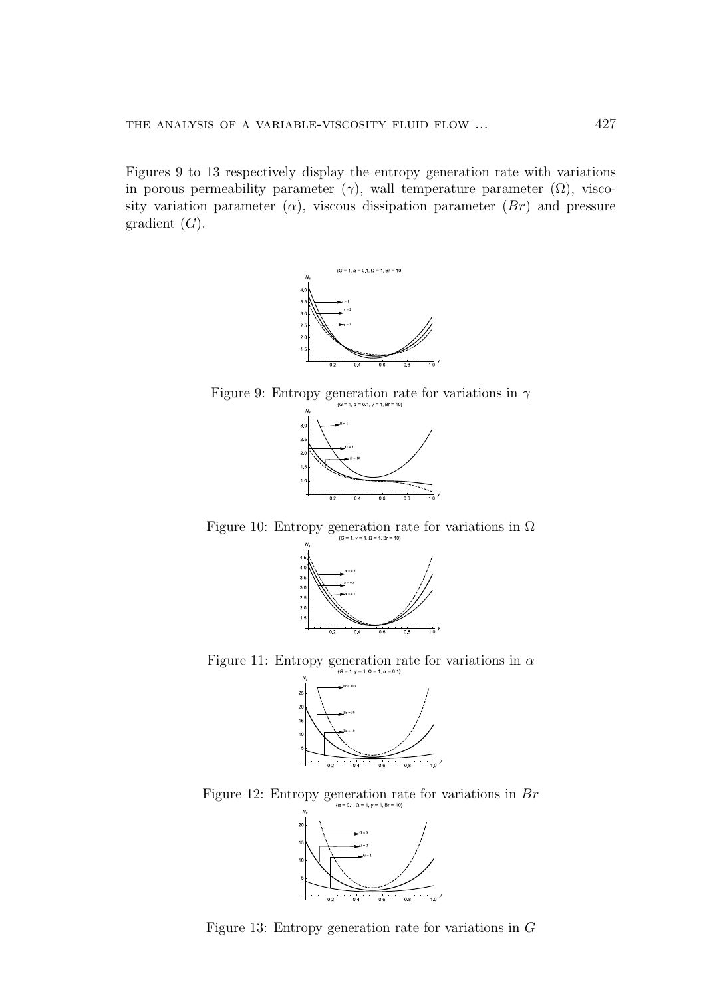Figures 9 to 13 respectively display the entropy generation rate with variations in porous permeability parameter  $(\gamma)$ , wall temperature parameter  $(\Omega)$ , viscosity variation parameter  $(\alpha)$ , viscous dissipation parameter  $(Br)$  and pressure gradient  $(G)$ .



Figure 9: Entropy generation rate for variations in  $\gamma$ 



Figure 10: Entropy generation rate for variations in  $\Omega$ 



Figure 11: Entropy generation rate for variations in  $\alpha$ 



Figure 12: Entropy generation rate for variations in Br



Figure 13: Entropy generation rate for variations in G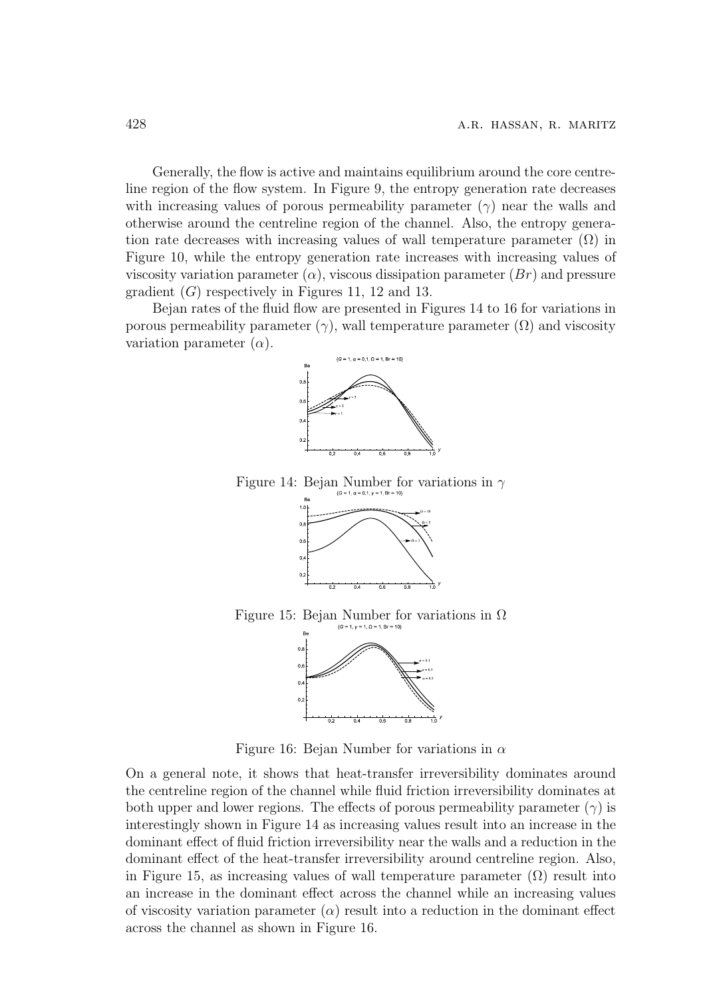Generally, the flow is active and maintains equilibrium around the core centreline region of the flow system. In Figure 9, the entropy generation rate decreases with increasing values of porous permeability parameter  $(\gamma)$  near the walls and otherwise around the centreline region of the channel. Also, the entropy generation rate decreases with increasing values of wall temperature parameter  $(\Omega)$  in Figure 10, while the entropy generation rate increases with increasing values of viscosity variation parameter  $(\alpha)$ , viscous dissipation parameter  $(Br)$  and pressure gradient  $(G)$  respectively in Figures 11, 12 and 13.

Bejan rates of the fluid flow are presented in Figures 14 to 16 for variations in porous permeability parameter  $(\gamma)$ , wall temperature parameter  $(\Omega)$  and viscosity variation parameter  $(\alpha)$ .



Figure 14: Bejan Number for variations in  $\gamma$ 



Figure 15: Bejan Number for variations in  $\Omega$ 



Figure 16: Bejan Number for variations in  $\alpha$ 

On a general note, it shows that heat-transfer irreversibility dominates around the centreline region of the channel while fluid friction irreversibility dominates at both upper and lower regions. The effects of porous permeability parameter  $(\gamma)$  is interestingly shown in Figure 14 as increasing values result into an increase in the dominant effect of fluid friction irreversibility near the walls and a reduction in the dominant effect of the heat-transfer irreversibility around centreline region. Also, in Figure 15, as increasing values of wall temperature parameter  $(\Omega)$  result into an increase in the dominant effect across the channel while an increasing values of viscosity variation parameter  $(\alpha)$  result into a reduction in the dominant effect across the channel as shown in Figure 16.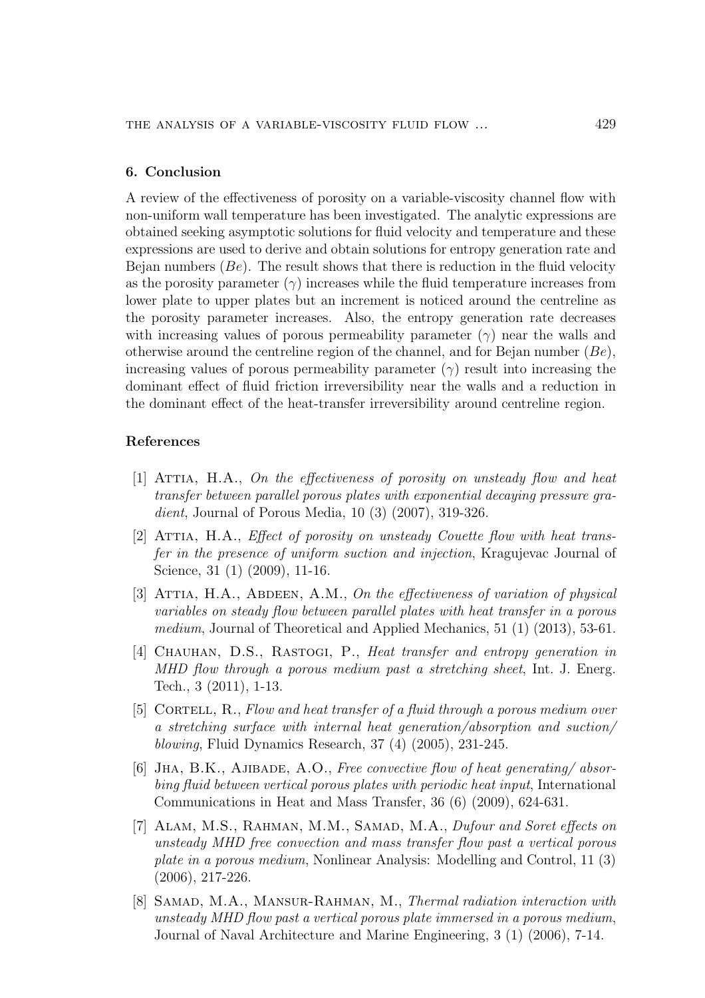#### 6. Conclusion

A review of the effectiveness of porosity on a variable-viscosity channel flow with non-uniform wall temperature has been investigated. The analytic expressions are obtained seeking asymptotic solutions for fluid velocity and temperature and these expressions are used to derive and obtain solutions for entropy generation rate and Bejan numbers  $(Be)$ . The result shows that there is reduction in the fluid velocity as the porosity parameter  $(\gamma)$  increases while the fluid temperature increases from lower plate to upper plates but an increment is noticed around the centreline as the porosity parameter increases. Also, the entropy generation rate decreases with increasing values of porous permeability parameter  $(\gamma)$  near the walls and otherwise around the centreline region of the channel, and for Bejan number  $(Be)$ , increasing values of porous permeability parameter  $(\gamma)$  result into increasing the dominant effect of fluid friction irreversibility near the walls and a reduction in the dominant effect of the heat-transfer irreversibility around centreline region.

#### References

- $[1]$  ATTIA, H.A., On the effectiveness of porosity on unsteady flow and heat transfer between parallel porous plates with exponential decaying pressure gradient, Journal of Porous Media, 10 (3) (2007), 319-326.
- [2] ATTIA, H.A., *Effect of porosity on unsteady Couette flow with heat trans*fer in the presence of uniform suction and injection, Kragujevac Journal of Science, 31 (1) (2009), 11-16.
- [3] ATTIA, H.A., ABDEEN, A.M., On the effectiveness of variation of physical variables on steady flow between parallel plates with heat transfer in a porous medium, Journal of Theoretical and Applied Mechanics, 51 (1) (2013), 53-61.
- [4] CHAUHAN, D.S., RASTOGI, P., Heat transfer and entropy generation in MHD flow through a porous medium past a stretching sheet, Int. J. Energ. Tech., 3 (2011), 1-13.
- [5] CORTELL, R., Flow and heat transfer of a fluid through a porous medium over a stretching surface with internal heat generation/absorption and suction/ blowing, Fluid Dynamics Research, 37 (4) (2005), 231-245.
- [6] JHA, B.K., AJIBADE, A.O., Free convective flow of heat generating/absorbing fluid between vertical porous plates with periodic heat input, International Communications in Heat and Mass Transfer, 36 (6) (2009), 624-631.
- [7] ALAM, M.S., RAHMAN, M.M., SAMAD, M.A., Dufour and Soret effects on unsteady MHD free convection and mass transfer flow past a vertical porous plate in a porous medium, Nonlinear Analysis: Modelling and Control, 11 (3) (2006), 217-226.
- [8] SAMAD, M.A., MANSUR-RAHMAN, M., Thermal radiation interaction with unsteady MHD flow past a vertical porous plate immersed in a porous medium, Journal of Naval Architecture and Marine Engineering, 3 (1) (2006), 7-14.